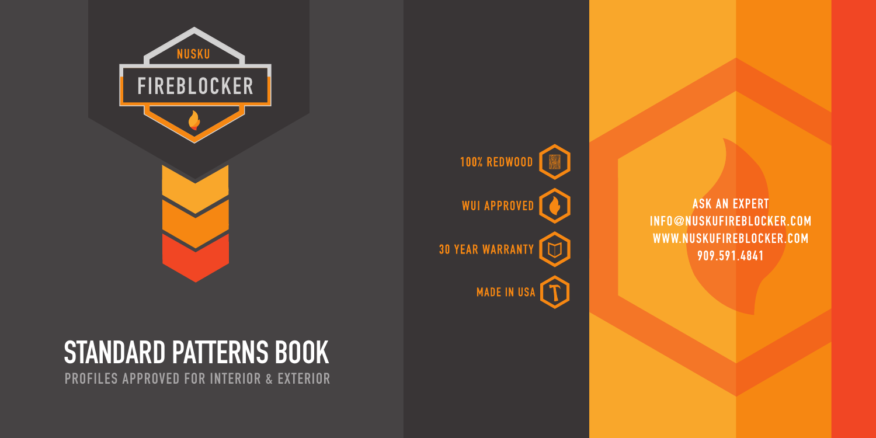**ASK AN EXPERT** INFO@NUSKUFIREBLOCKER.COM WWW.NUSKUFIREBLOCKER.COM 909.591.4841

**100% REDWOOD WUI APPROVED 30 YEAR WARRANTY** កោ m MADE IN USA



# **STANDARD PATTERNS BOOK**

**PROFILES APPROVED FOR INTERIOR & EXTERIOR**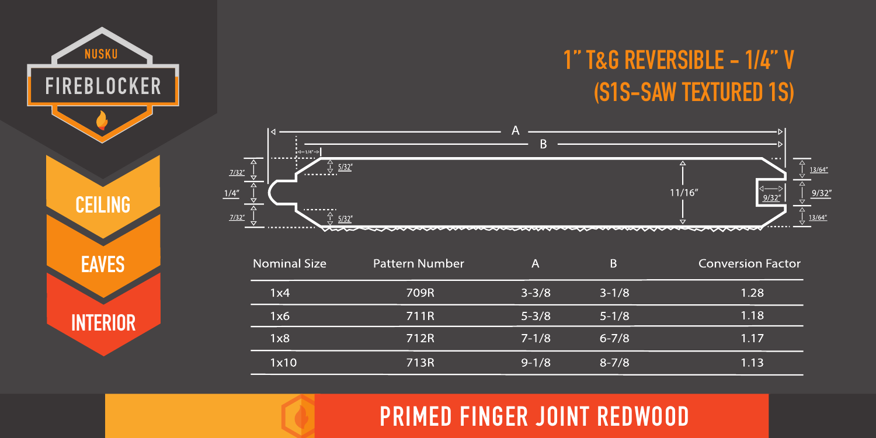## **1'' T&G REVERSIBLE - 1/4'' V (S1S-SAW TEXTURED 1S)**



| <b>Nominal Size</b> | Pattern Number | Α         | ß.        | Conversion Factor |
|---------------------|----------------|-----------|-----------|-------------------|
| 1x4                 | 709R           | $3 - 3/8$ | $3 - 1/8$ | 1.28              |
| 1x6                 | 711R           | $5 - 3/8$ | $5 - 1/8$ | 1.18              |
| 1x8                 | 712R           | $7 - 1/8$ | $6 - 7/8$ | 1.17              |
| 1x10                | 713R           | $9 - 1/8$ | $8 - 7/8$ | 1.13              |

**PRIMED FINGER JOINT REDWOOD**



NUSKU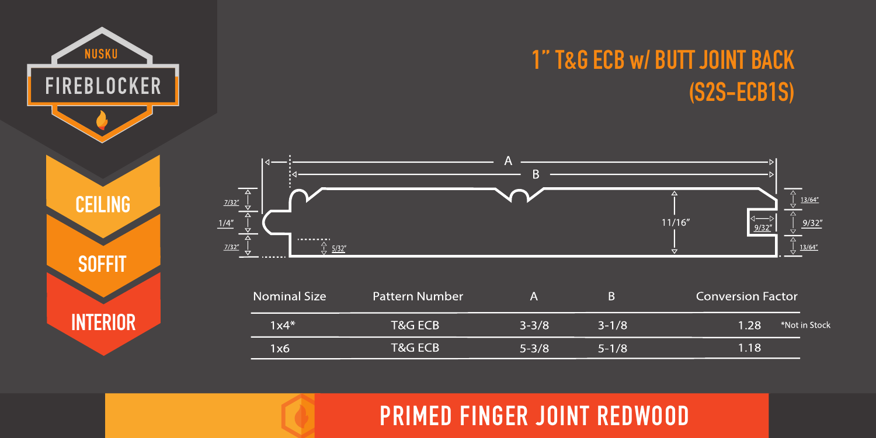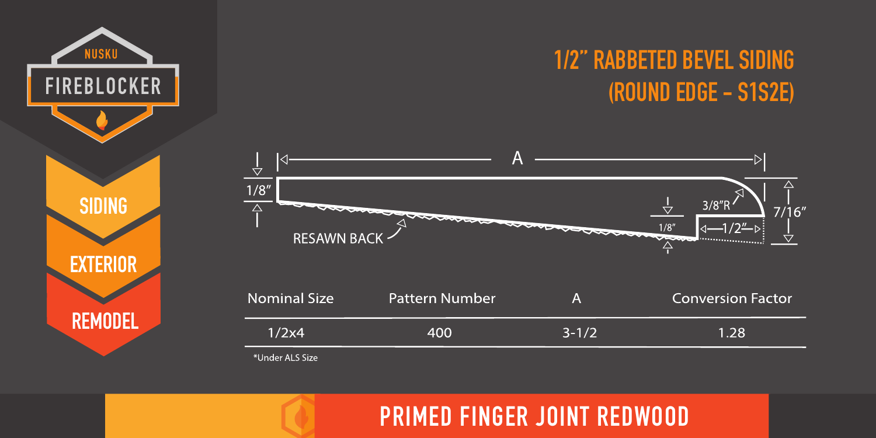

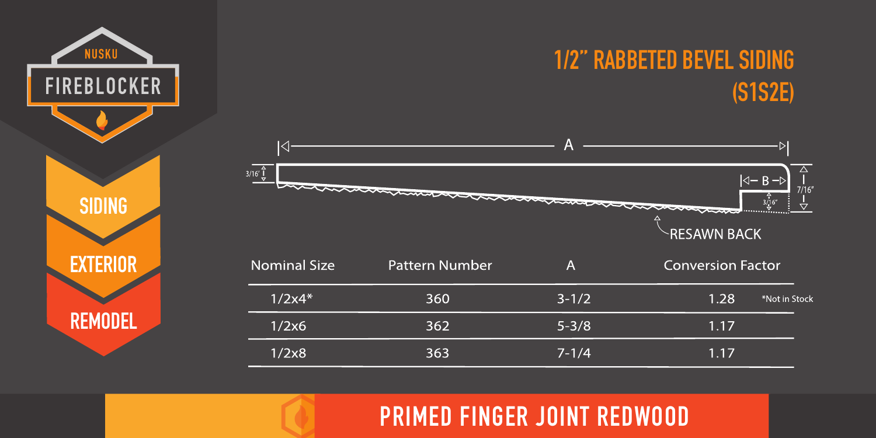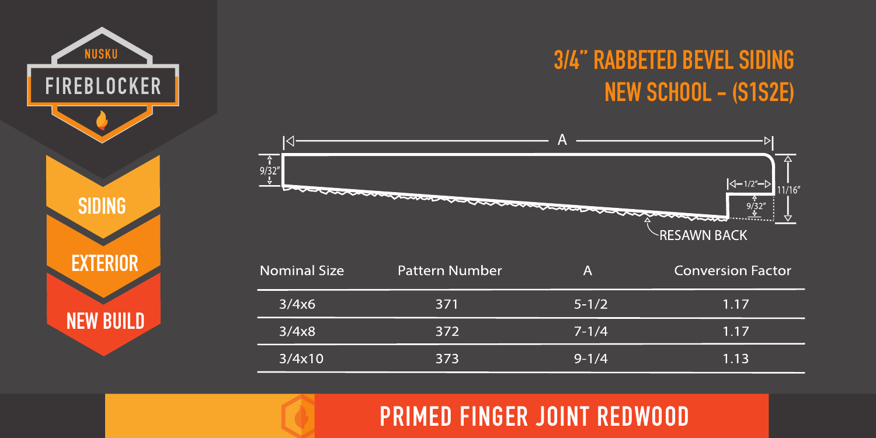## **3/4'' RABBETED BEVEL SIDING NEW SCHOOL - (S1S2E)**



**SIDING**

NUSKU

**FIREBLOCKER** 

**EXTERIOR**

**NEW BUILD**

| Nominal Size | Pattern Number | Α         | <b>Conversion Factor</b> |
|--------------|----------------|-----------|--------------------------|
| 3/4x6        | 371            | $5 - 1/2$ | 1.17                     |
| 3/4x8        | 372            | $7 - 1/4$ | 1.17                     |
| 3/4x10       | 373            | $9 - 1/4$ | 1.13                     |

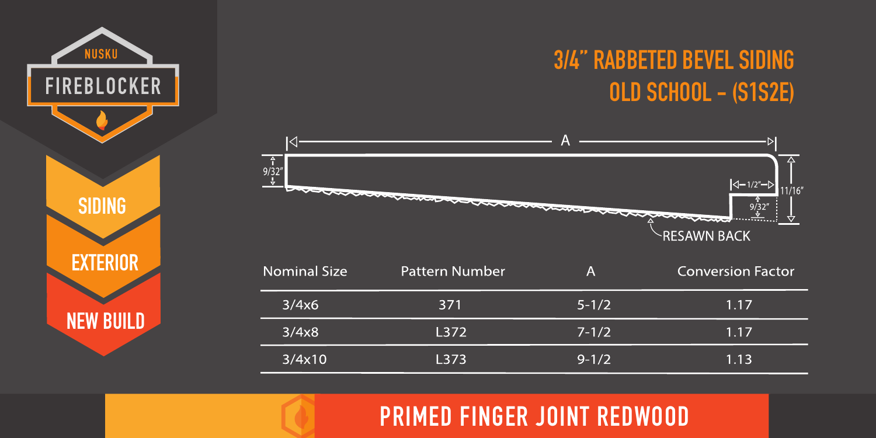## **3/4'' RABBETED BEVEL SIDING OLD SCHOOL - (S1S2E)**



| <b>Nominal Size</b> | Pattern Number | А         | <b>Conversion Factor</b> |
|---------------------|----------------|-----------|--------------------------|
| 3/4x6               | 371            | $5 - 1/2$ | 1.17                     |
| 3/4x8               | L372           | $7 - 1/2$ | 1.17                     |
| 3/4x10              | L373           | $9 - 1/2$ | 1.13                     |

**PRIMED FINGER JOINT REDWOOD**

**FIREBLOCKER SIDING EXTERIOR NEW BUILD**

NUSKU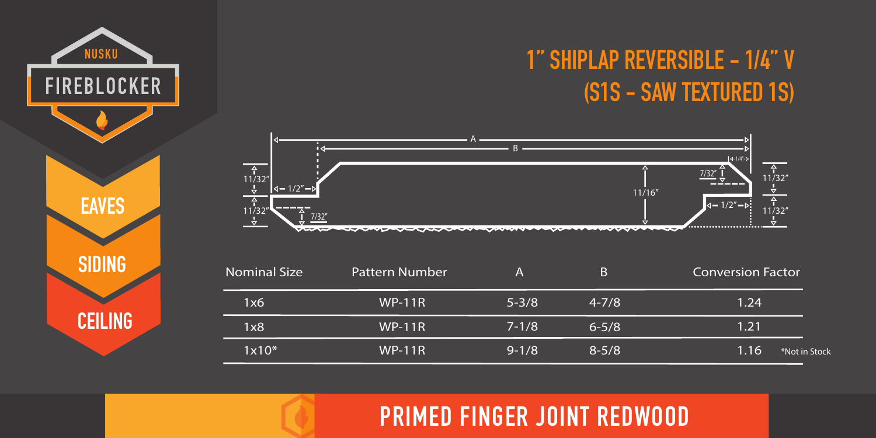## **1'' SHIPLAP REVERSIBLE - 1/4'' V (S1S - SAW TEXTURED 1S)**



**EAVES**

NUSKU

**FIREBLOCKER** 

**SIDING**

**CEILING**

| <b>Nominal Size</b> | Pattern Number | Α         |           | <b>Conversion Factor</b> |
|---------------------|----------------|-----------|-----------|--------------------------|
| 1x6                 | $WP-11R$       | $5 - 3/8$ | $4 - 7/8$ | 1.24                     |
| 1x8                 | $WP-11R$       | $7 - 1/8$ | $6 - 5/8$ | 1.21                     |
| $1x10*$             | $WP-11R$       | $9 - 1/8$ | $8 - 5/8$ | 1.16<br>*Not in Stock    |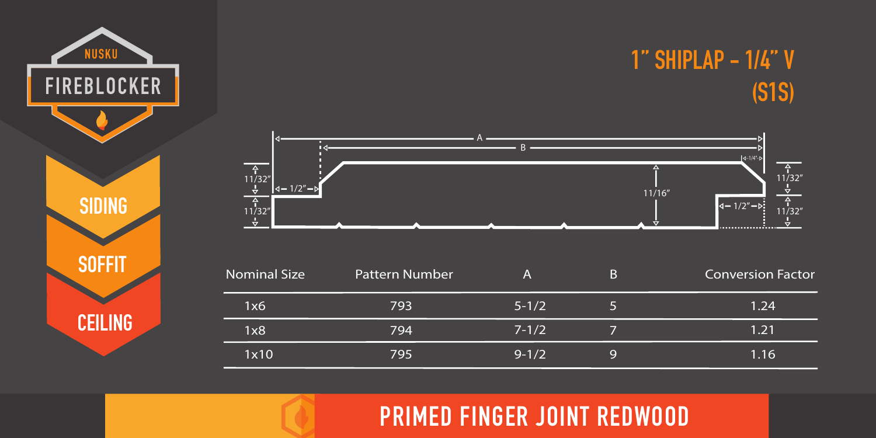



| <b>Nominal Size</b> | <b>Pattern Number</b> | А         |   | Conversion Factor |
|---------------------|-----------------------|-----------|---|-------------------|
| 1x6                 | 793                   | $5 - 1/2$ |   | 1.24              |
| 1x8                 | 794                   | $7 - 1/2$ |   | 1.21              |
| 1x10                | 795                   | $9 - 1/2$ | Q | 1.16              |



**NUSKU** 

**FIREBLOCKER**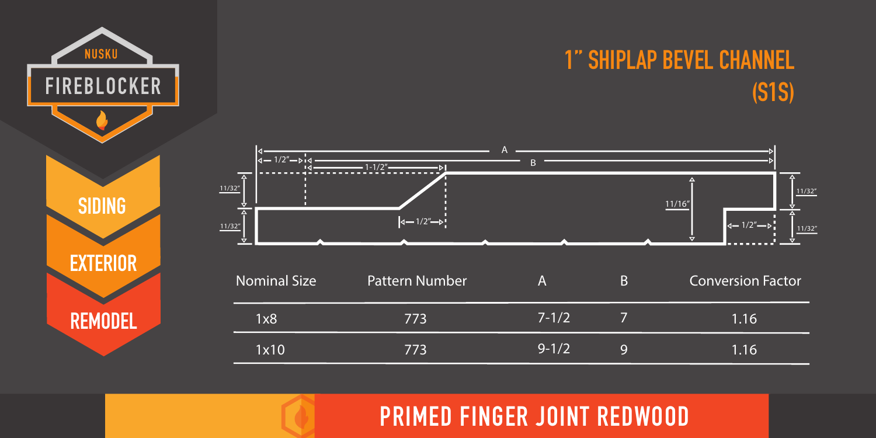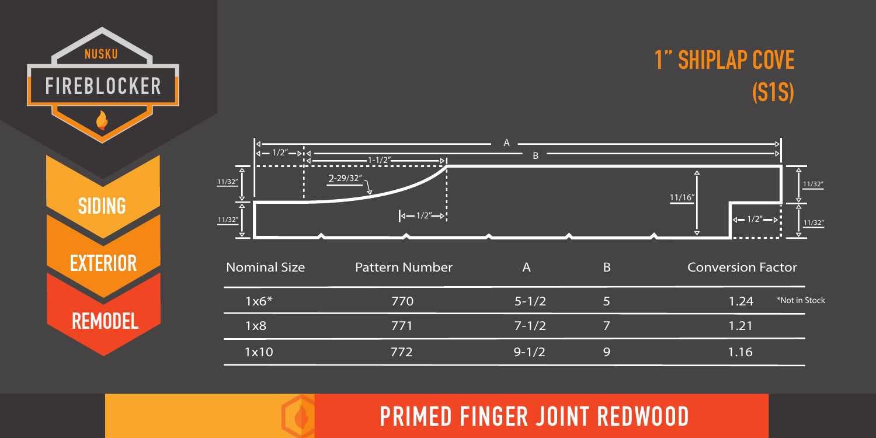



**SIDING**

**NUSKU** 

FIREBLOCKER

**EXTERIOR**

**REMODEL**

| <b>Nominal Size</b> | Pattern Number |           | B | <b>Conversion Factor</b> |               |
|---------------------|----------------|-----------|---|--------------------------|---------------|
| $1x6*$              | 770            | $5 - 1/2$ | 5 | 1.24                     | *Not in Stock |
| 1x8                 | 771            | $7 - 1/2$ |   | 1.21                     |               |
| 1x10                | 772            | $9 - 1/2$ | q | 1.16                     |               |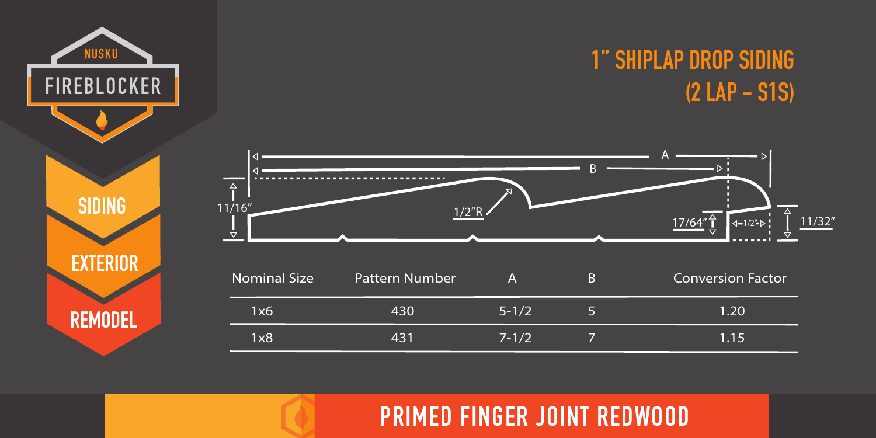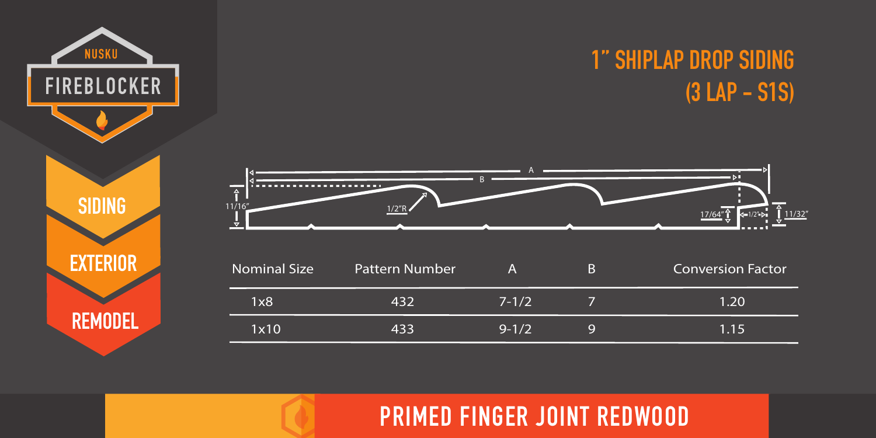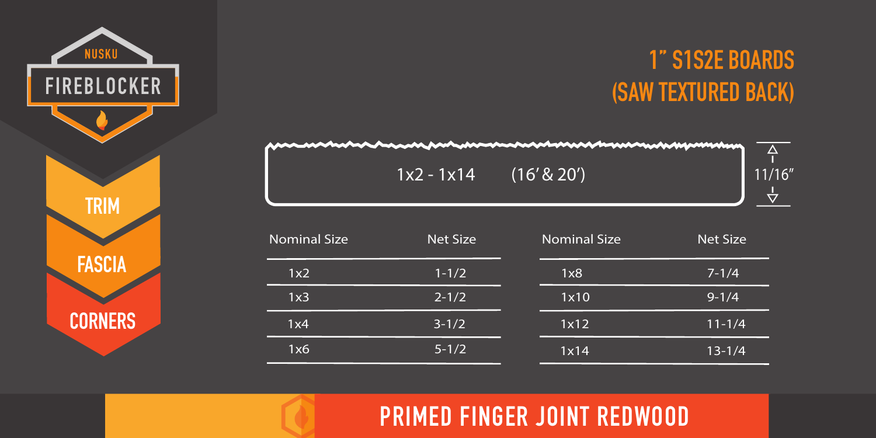

## **1'' S1S2E BOARDS (SAW TEXTURED BACK)**

 $1x2 - 1x14$  (16' & 20') 11/16"



| <b>Nominal Size</b> | <b>Net Size</b> | <b>Nominal Size</b> | <b>Net Size</b> |
|---------------------|-----------------|---------------------|-----------------|
| 1x2                 | $1 - 1/2$       | 1x8                 | $7 - 1/4$       |
| 1x3                 | $2 - 1/2$       | 1x10                | $9 - 1/4$       |
| 1x4                 | $3 - 1/2$       | 1x12                | $11 - 1/4$      |
| 1x6                 | $5 - 1/2$       | 1x14                | $13 - 1/4$      |

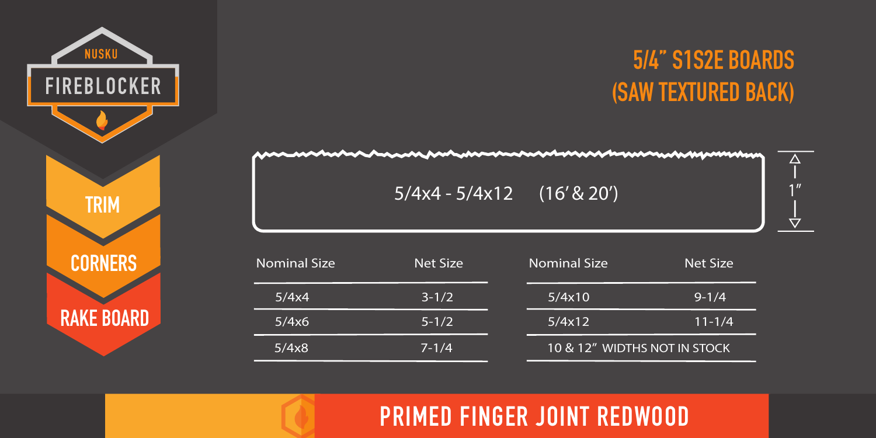

## **5/4'' S1S2E BOARDS (SAW TEXTURED BACK)**

 $5/4x4 - 5/4x12$  (16' & 20')



| Nominal Size | Net Size  | <b>Nominal Size</b>          | <b>Net Size</b> |
|--------------|-----------|------------------------------|-----------------|
| 5/4x4        | $3 - 1/2$ | 5/4x10                       | $9 - 1/4$       |
| 5/4x6        | $5 - 1/2$ | 5/4x12                       | $11 - 1/4$      |
| 5/4x8        | $7 - 1/4$ | 10 & 12" WIDTHS NOT IN STOCK |                 |